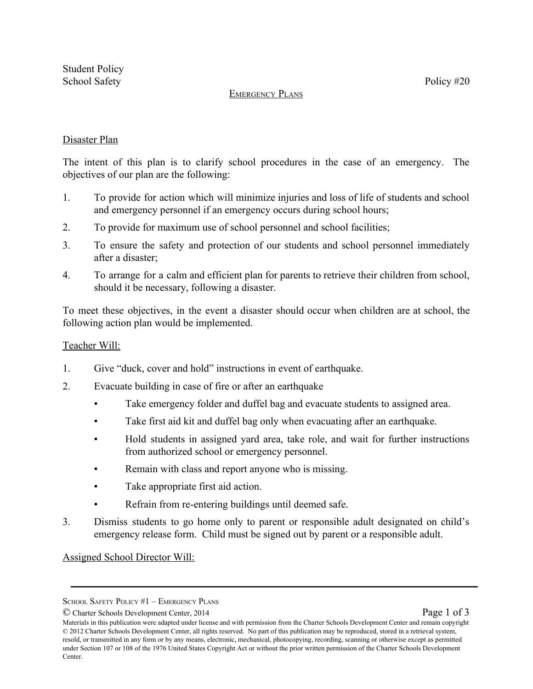### EMERGENCY PLANS

# Disaster Plan

The intent of this plan is to clarify school procedures in the case of an emergency. The objectives of our plan are the following:

- 1. To provide for action which will minimize injuries and loss of life of students and school and emergency personnel if an emergency occurs during school hours;
- 2. To provide for maximum use of school personnel and school facilities;
- 3. To ensure the safety and protection of our students and school personnel immediately after a disaster;
- 4. To arrange for a calm and efficient plan for parents to retrieve their children from school, should it be necessary, following a disaster.

To meet these objectives, in the event a disaster should occur when children are at school, the following action plan would be implemented.

### Teacher Will:

- 1. Give "duck, cover and hold" instructions in event of earthquake.
- 2. Evacuate building in case of fire or after an earthquake
	- Take emergency folder and duffel bag and evacuate students to assigned area.
	- Take first aid kit and duffel bag only when evacuating after an earthquake.
	- Hold students in assigned yard area, take role, and wait for further instructions from authorized school or emergency personnel.
	- Remain with class and report anyone who is missing.
	- Take appropriate first aid action.
	- Refrain from re-entering buildings until deemed safe.
- 3. Dismiss students to go home only to parent or responsible adult designated on child's emergency release form. Child must be signed out by parent or a responsible adult.

Assigned School Director Will:

SCHOOL SAFETY POLICY #1 - EMERGENCY PLANS

<sup>©</sup> Charter Schools Development Center, 2014 Page 1 of 3

Materials in this publication were adapted under license and with permission from the Charter Schools Development Center and remain copyright © 2012 Charter Schools Development Center, all rights reserved. No part of this publication may be reproduced, stored in a retrieval system, resold, or transmitted in any form or by any means, electronic, mechanical, photocopying, recording, scanning or otherwise except as permitted under Section 107 or 108 of the 1976 United States Copyright Act or without the prior written permission of the Charter Schools Development Center.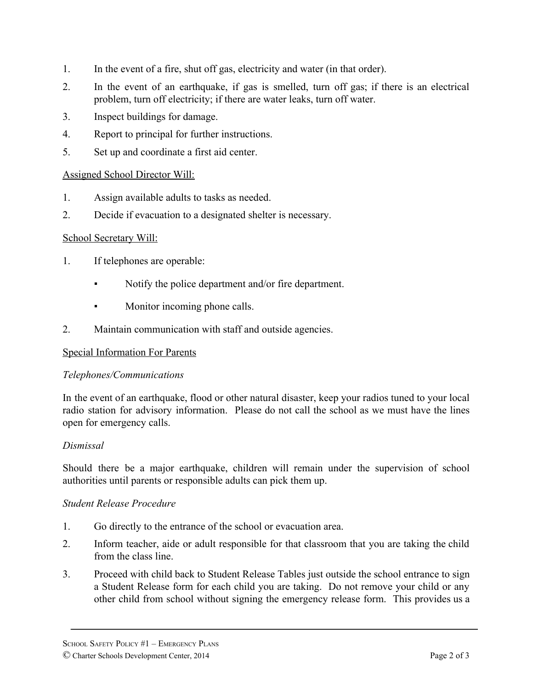- 1. In the event of a fire, shut off gas, electricity and water (in that order).
- 2. In the event of an earthquake, if gas is smelled, turn off gas; if there is an electrical problem, turn off electricity; if there are water leaks, turn off water.
- 3. Inspect buildings for damage.
- 4. Report to principal for further instructions.
- 5. Set up and coordinate a first aid center.

### Assigned School Director Will:

- 1. Assign available adults to tasks as needed.
- 2. Decide if evacuation to a designated shelter is necessary.

#### School Secretary Will:

- 1. If telephones are operable:
	- Notify the police department and/or fire department.
	- Monitor incoming phone calls.
- 2. Maintain communication with staff and outside agencies.

#### Special Information For Parents

#### *Telephones/Communications*

In the event of an earthquake, flood or other natural disaster, keep your radios tuned to your local radio station for advisory information. Please do not call the school as we must have the lines open for emergency calls.

#### *Dismissal*

Should there be a major earthquake, children will remain under the supervision of school authorities until parents or responsible adults can pick them up.

#### *Student Release Procedure*

- 1. Go directly to the entrance of the school or evacuation area.
- 2. Inform teacher, aide or adult responsible for that classroom that you are taking the child from the class line.
- 3. Proceed with child back to Student Release Tables just outside the school entrance to sign a Student Release form for each child you are taking. Do not remove your child or any other child from school without signing the emergency release form. This provides us a